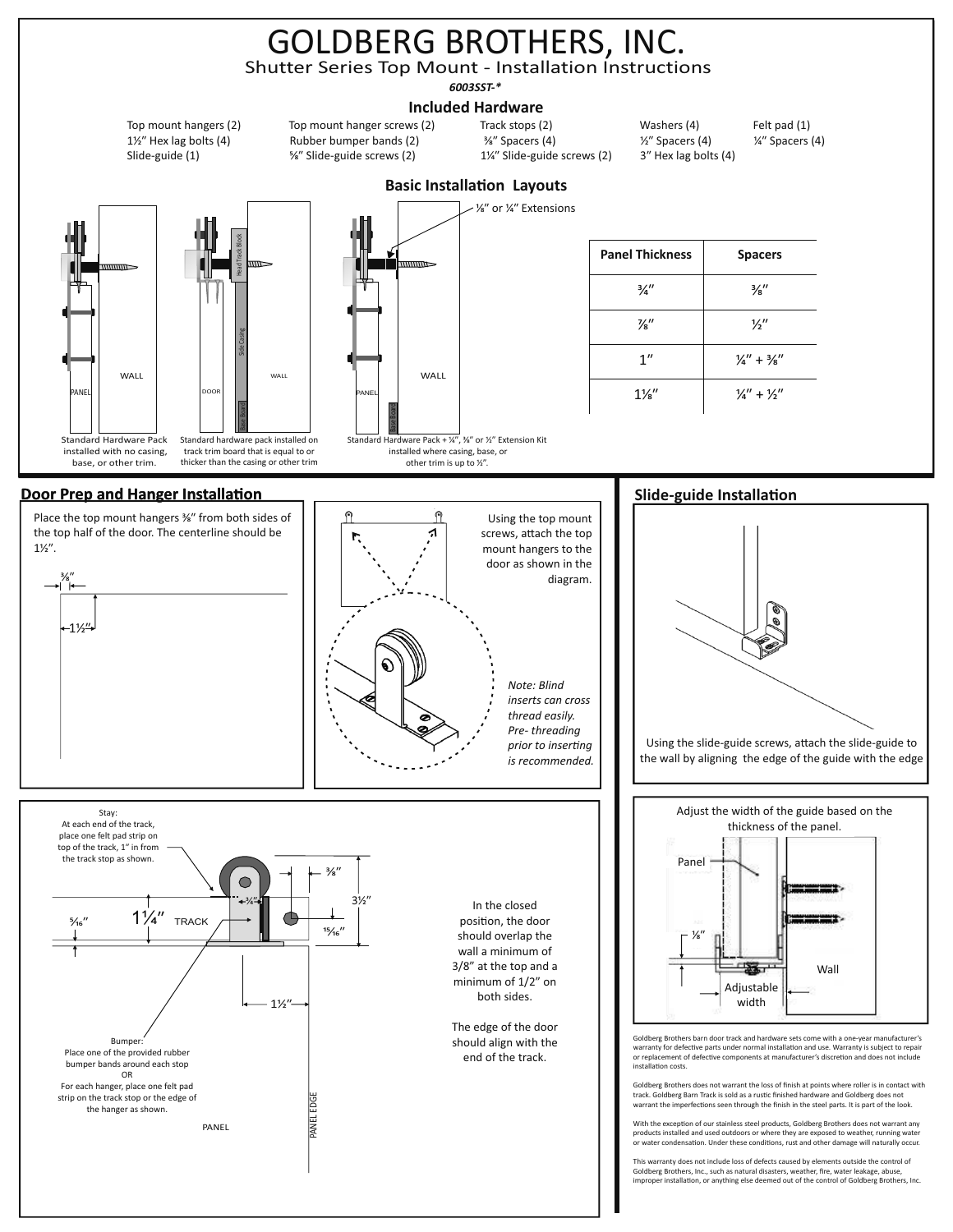# GOLDBERG BROTHERS, INC.

Shutter Series Top Mount - Installation Instructions

*6003SST-\**

### **Included Hardware Included Hardware**

Top mount hangers (2) Top mount hanger screws (2) Track stops (2) Washers (4) Felt pad (1) 1/½" Hex lag bolts (4) Rubber bumper bands (2) <sup>3</sup>%" Spacers (4) *1/2*" Spacers (4) *1/4*" Spacers (4) Slide-guide (1) <sup>5/</sup><sub>8</sub>" Slide-guide screws (2) 1/4" Slide-guide screws (2) 3<sup>"</sup> Hex lag bolts (4)

Wall







## **Basic Installation Layouts**